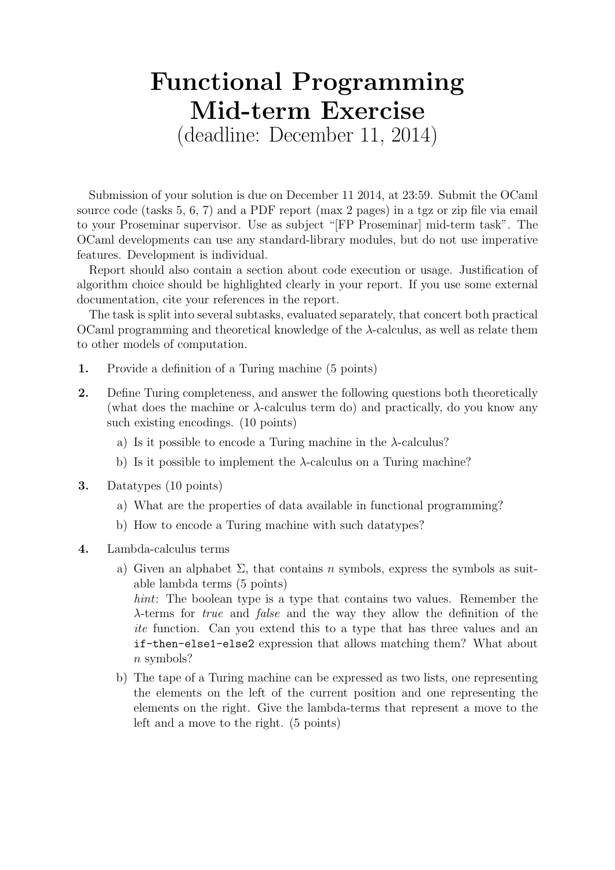## Functional Programming Mid-term Exercise

(deadline: December 11, 2014)

Submission of your solution is due on December 11 2014, at 23:59. Submit the OCaml source code (tasks 5, 6, 7) and a PDF report (max 2 pages) in a tgz or zip file via email to your Proseminar supervisor. Use as subject "[FP Proseminar] mid-term task". The OCaml developments can use any standard-library modules, but do not use imperative features. Development is individual.

Report should also contain a section about code execution or usage. Justification of algorithm choice should be highlighted clearly in your report. If you use some external documentation, cite your references in the report.

The task is split into several subtasks, evaluated separately, that concert both practical OCaml programming and theoretical knowledge of the  $λ$ -calculus, as well as relate them to other models of computation.

- 1. Provide a definition of a Turing machine (5 points)
- 2. Define Turing completeness, and answer the following questions both theoretically (what does the machine or λ-calculus term do) and practically, do you know any such existing encodings. (10 points)
	- a) Is it possible to encode a Turing machine in the  $\lambda$ -calculus?
	- b) Is it possible to implement the  $\lambda$ -calculus on a Turing machine?
- 3. Datatypes (10 points)
	- a) What are the properties of data available in functional programming?
	- b) How to encode a Turing machine with such datatypes?
- 4. Lambda-calculus terms
	- a) Given an alphabet  $\Sigma$ , that contains n symbols, express the symbols as suitable lambda terms (5 points) hint: The boolean type is a type that contains two values. Remember the λ-terms for true and false and the way they allow the definition of the ite function. Can you extend this to a type that has three values and an if-then-else1-else2 expression that allows matching them? What about n symbols?
	- b) The tape of a Turing machine can be expressed as two lists, one representing the elements on the left of the current position and one representing the elements on the right. Give the lambda-terms that represent a move to the left and a move to the right. (5 points)